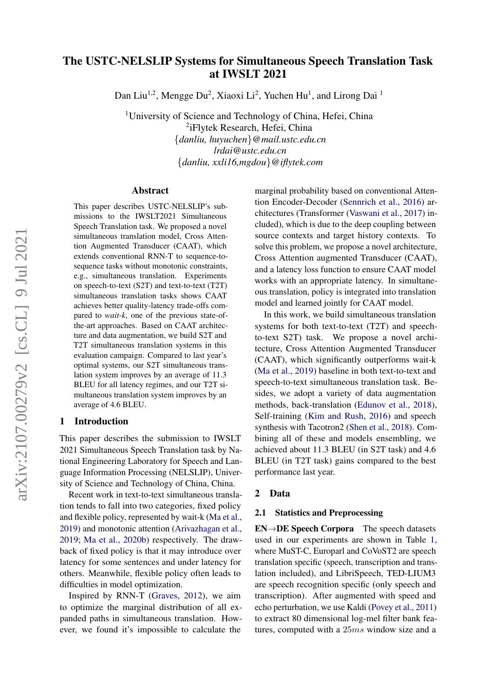# The USTC-NELSLIP Systems for Simultaneous Speech Translation Task at IWSLT 2021

Dan Liu<sup>1,2</sup>, Mengge Du<sup>2</sup>, Xiaoxi Li<sup>2</sup>, Yuchen Hu<sup>1</sup>, and Lirong Dai<sup>1</sup>

<sup>1</sup>University of Science and Technology of China, Hefei, China 2 iFlytek Research, Hefei, China {*danliu, huyuchen*}*@mail.ustc.edu.cn lrdai@ustc.edu.cn* {*danliu, xxli16,mgdou*}*@iflytek.com*

#### Abstract

This paper describes USTC-NELSLIP's submissions to the IWSLT2021 Simultaneous Speech Translation task. We proposed a novel simultaneous translation model, Cross Attention Augmented Transducer (CAAT), which extends conventional RNN-T to sequence-tosequence tasks without monotonic constraints, e.g., simultaneous translation. Experiments on speech-to-text (S2T) and text-to-text (T2T) simultaneous translation tasks shows CAAT achieves better quality-latency trade-offs compared to *wait-k*, one of the previous state-ofthe-art approaches. Based on CAAT architecture and data augmentation, we build S2T and T2T simultaneous translation systems in this evaluation campaign. Compared to last year's optimal systems, our S2T simultaneous translation system improves by an average of 11.3 BLEU for all latency regimes, and our T2T simultaneous translation system improves by an average of 4.6 BLEU.

# 1 Introduction

This paper describes the submission to IWSLT 2021 Simultaneous Speech Translation task by National Engineering Laboratory for Speech and Language Information Processing (NELSLIP), University of Science and Technology of China, China.

Recent work in text-to-text simultaneous translation tends to fall into two categories, fixed policy and flexible policy, represented by wait-k [\(Ma et al.,](#page-7-0) [2019\)](#page-7-0) and monotonic attention [\(Arivazhagan et al.,](#page-7-1) [2019;](#page-7-1) [Ma et al.,](#page-8-0) [2020b\)](#page-8-0) respectively. The drawback of fixed policy is that it may introduce over latency for some sentences and under latency for others. Meanwhile, flexible policy often leads to difficulties in model optimization.

Inspired by RNN-T [\(Graves,](#page-7-2) [2012\)](#page-7-2), we aim to optimize the marginal distribution of all expanded paths in simultaneous translation. However, we found it's impossible to calculate the marginal probability based on conventional Attention Encoder-Decoder [\(Sennrich et al.,](#page-8-1) [2016\)](#page-8-1) architectures (Transformer [\(Vaswani et al.,](#page-8-2) [2017\)](#page-8-2) included), which is due to the deep coupling between source contexts and target history contexts. To solve this problem, we propose a novel architecture, Cross Attention augmented Transducer (CAAT), and a latency loss function to ensure CAAT model works with an appropriate latency. In simultaneous translation, policy is integrated into translation model and learned jointly for CAAT model.

In this work, we build simultaneous translation systems for both text-to-text (T2T) and speechto-text S2T) task. We propose a novel architecture, Cross Attention Augmented Transducer (CAAT), which significantly outperforms wait-k [\(Ma et al.,](#page-7-0) [2019\)](#page-7-0) baseline in both text-to-text and speech-to-text simultaneous translation task. Besides, we adopt a variety of data augmentation methods, back-translation [\(Edunov et al.,](#page-7-3) [2018\)](#page-7-3), Self-training [\(Kim and Rush,](#page-7-4) [2016\)](#page-7-4) and speech synthesis with Tacotron2 [\(Shen et al.,](#page-8-3) [2018\)](#page-8-3). Combining all of these and models ensembling, we achieved about 11.3 BLEU (in S2T task) and 4.6 BLEU (in T2T task) gains compared to the best performance last year.

### <span id="page-0-0"></span>2 Data

### 2.1 Statistics and Preprocessing

EN→DE Speech Corpora The speech datasets used in our experiments are shown in Table [1,](#page-1-0) where MuST-C, Europarl and CoVoST2 are speech translation specific (speech, transcription and translation included), and LibriSpeech, TED-LIUM3 are speech recognition specific (only speech and transcription). After augmented with speed and echo perturbation, we use Kaldi [\(Povey et al.,](#page-8-4) [2011\)](#page-8-4) to extract 80 dimensional log-mel filter bank features, computed with a 25ms window size and a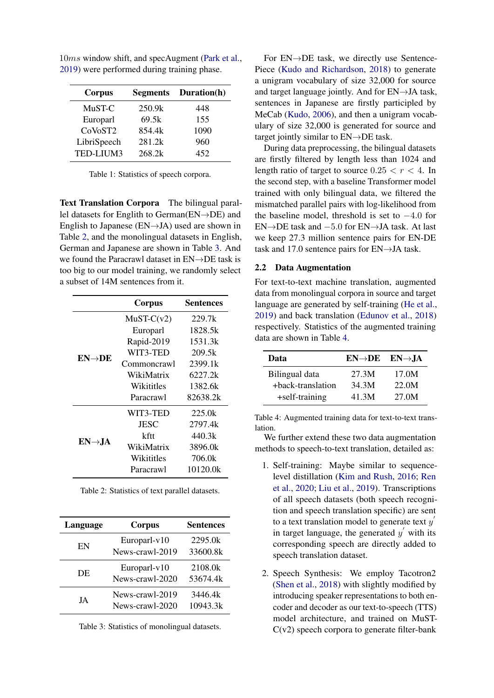<span id="page-1-0"></span>

|        | <b>Segments</b> Duration(h) |
|--------|-----------------------------|
| 250.9k | 448                         |
| 69.5k  | 155                         |
| 854.4k | 1090                        |
| 281.2k | 960                         |
| 268.2k | 452                         |
|        |                             |

10ms window shift, and specAugment [\(Park et al.,](#page-8-5) [2019\)](#page-8-5) were performed during training phase.

Table 1: Statistics of speech corpora.

Text Translation Corpora The bilingual parallel datasets for Englith to German(EN→DE) and English to Japanese ( $EN \rightarrow JA$ ) used are shown in Table [2,](#page-1-1) and the monolingual datasets in English, German and Japanese are shown in Table [3.](#page-1-2) And we found the Paracrawl dataset in EN→DE task is too big to our model training, we randomly select a subset of 14M sentences from it.

<span id="page-1-1"></span>

|                    | Corpus       | Sentences |
|--------------------|--------------|-----------|
|                    | $MuST-C(v2)$ | 229.7k    |
|                    | Europarl     | 1828.5k   |
|                    | Rapid-2019   | 1531.3k   |
| $EN\rightarrow DE$ | WIT3-TED     | 209.5k    |
|                    | Commoncrawl  | 2399.1k   |
|                    | WikiMatrix   | 6227.2k   |
|                    | Wikititles   | 1382.6k   |
|                    | Paracrawl    | 82638.2k  |
|                    | WIT3-TED     | 225.0k    |
|                    | JESC         | 2797.4k   |
|                    | kftt         | 440.3k    |
| $EN\rightarrow IA$ | WikiMatrix   | 3896.0k   |
|                    | Wikititles   | 706.0k    |
|                    | Paracrawl    | 10120.0k  |

Table 2: Statistics of text parallel datasets.

<span id="page-1-2"></span>

| Language | <b>Corpus</b>                      | <b>Sentences</b>    |  |
|----------|------------------------------------|---------------------|--|
| EN       | Europarl-v10<br>News-crawl-2019    | 2295.0k<br>33600.8k |  |
| DE       | Europarl-v10<br>News-crawl-2020    | 2108.0k<br>53674.4k |  |
| JA       | News-crawl-2019<br>News-crawl-2020 | 3446.4k<br>10943.3k |  |

Table 3: Statistics of monolingual datasets.

For EN→DE task, we directly use Sentence-Piece [\(Kudo and Richardson,](#page-7-5) [2018\)](#page-7-5) to generate a unigram vocabulary of size 32,000 for source and target language jointly. And for EN→JA task, sentences in Japanese are firstly participled by MeCab [\(Kudo,](#page-7-6) [2006\)](#page-7-6), and then a unigram vocabulary of size 32,000 is generated for source and target jointly similar to  $EN\rightarrow DE$  task.

During data preprocessing, the bilingual datasets are firstly filtered by length less than 1024 and length ratio of target to source  $0.25 < r < 4$ . In the second step, with a baseline Transformer model trained with only bilingual data, we filtered the mismatched parallel pairs with log-likelihood from the baseline model, threshold is set to  $-4.0$  for EN→DE task and −5.0 for EN→JA task. At last we keep 27.3 million sentence pairs for EN-DE task and 17.0 sentence pairs for EN→JA task.

# 2.2 Data Augmentation

For text-to-text machine translation, augmented data from monolingual corpora in source and target language are generated by self-training [\(He et al.,](#page-7-7) [2019\)](#page-7-7) and back translation [\(Edunov et al.,](#page-7-3) [2018\)](#page-7-3) respectively. Statistics of the augmented training data are shown in Table [4.](#page-1-3)

<span id="page-1-3"></span>

| Data              | $EN\rightarrow DE$ $EN\rightarrow JA$ |       |
|-------------------|---------------------------------------|-------|
| Bilingual data    | 27.3M                                 | 17.0M |
| +back-translation | 34.3M                                 | 22.0M |
| +self-training    | 41.3M                                 | 27.0M |

Table 4: Augmented training data for text-to-text translation.

We further extend these two data augmentation methods to speech-to-text translation, detailed as:

- 1. Self-training: Maybe similar to sequencelevel distillation [\(Kim and Rush,](#page-7-4) [2016;](#page-7-4) [Ren](#page-8-6) [et al.,](#page-8-6) [2020;](#page-8-6) [Liu et al.,](#page-7-8) [2019\)](#page-7-8). Transcriptions of all speech datasets (both speech recognition and speech translation specific) are sent to a text translation model to generate text  $y'$ in target language, the generated  $y'$  with its corresponding speech are directly added to speech translation dataset.
- 2. Speech Synthesis: We employ Tacotron2 [\(Shen et al.,](#page-8-3) [2018\)](#page-8-3) with slightly modified by introducing speaker representations to both encoder and decoder as our text-to-speech (TTS) model architecture, and trained on MuST- $C(v2)$  speech corpora to generate filter-bank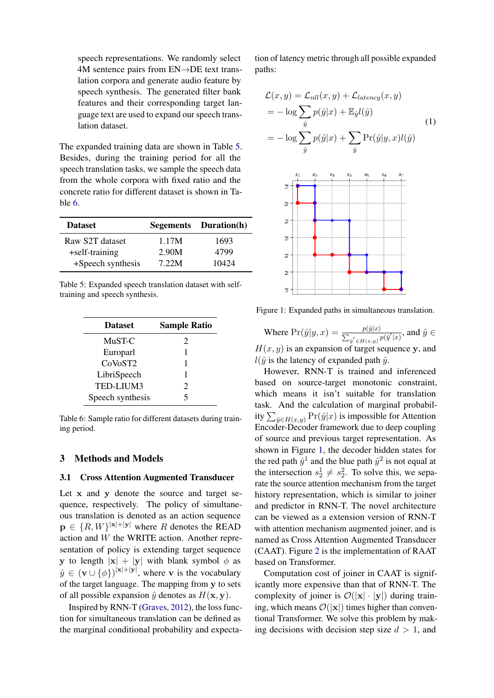speech representations. We randomly select 4M sentence pairs from EN→DE text translation corpora and generate audio feature by speech synthesis. The generated filter bank features and their corresponding target language text are used to expand our speech translation dataset.

The expanded training data are shown in Table [5.](#page-2-0) Besides, during the training period for all the speech translation tasks, we sample the speech data from the whole corpora with fixed ratio and the concrete ratio for different dataset is shown in Table [6.](#page-2-1)

<span id="page-2-0"></span>

| <b>Dataset</b>    |       | Segements Duration(h) |
|-------------------|-------|-----------------------|
| Raw S2T dataset   | 1.17M | 1693                  |
| +self-training    | 2.90M | 4799                  |
| +Speech synthesis | 7.22M | 10424                 |

Table 5: Expanded speech translation dataset with selftraining and speech synthesis.

<span id="page-2-1"></span>

| <b>Dataset</b>   | <b>Sample Ratio</b>   |
|------------------|-----------------------|
| MuST-C           | $\mathcal{D}_{\cdot}$ |
| Europarl         |                       |
| CoVoST2          |                       |
| LibriSpeech      |                       |
| TED-LIUM3        | $\mathcal{D}_{\cdot}$ |
| Speech synthesis | 5                     |

Table 6: Sample ratio for different datasets during training period.

# 3 Methods and Models

# <span id="page-2-3"></span>3.1 Cross Attention Augmented Transducer

Let x and y denote the source and target sequence, respectively. The policy of simultaneous translation is denoted as an action sequence  $\mathbf{p} \in \{R, W\}^{|\mathbf{x}| + |\mathbf{y}|}$  where R denotes the READ action and W the WRITE action. Another representation of policy is extending target sequence y to length  $|x| + |y|$  with blank symbol  $\phi$  as  $\hat{y} \in (\mathbf{v} \cup {\phi})^{|\mathbf{x}|+|\mathbf{y}|}$ , where v is the vocabulary of the target language. The mapping from y to sets of all possible expansion  $\hat{y}$  denotes as  $H(\mathbf{x}, \mathbf{y})$ .

Inspired by RNN-T [\(Graves,](#page-7-2) [2012\)](#page-7-2), the loss function for simultaneous translation can be defined as the marginal conditional probability and expectation of latency metric through all possible expanded paths:

$$
\mathcal{L}(x, y) = \mathcal{L}_{nll}(x, y) + \mathcal{L}_{latency}(x, y)
$$
  
= 
$$
-\log \sum_{\hat{y}} p(\hat{y}|x) + \mathbb{E}_{\hat{y}}l(\hat{y})
$$
  
= 
$$
-\log \sum_{\hat{y}} p(\hat{y}|x) + \sum_{\hat{y}} \Pr(\hat{y}|y, x)l(\hat{y})
$$
 (1)

<span id="page-2-2"></span>

Figure 1: Expanded paths in simultaneous translation.

Where  $Pr(\hat{y}|y,x) = \frac{p(\hat{y}|x)}{\sum_{\hat{y}' \in H(x,y)} p(\hat{y}'|x)}$ , and  $\hat{y} \in$  $H(x, y)$  is an expansion of target sequence y, and  $l(\hat{y})$  is the latency of expanded path  $\hat{y}$ .

However, RNN-T is trained and inferenced based on source-target monotonic constraint, which means it isn't suitable for translation task. And the calculation of marginal probability  $\sum_{\hat{y} \in H(x,y)} \Pr(\hat{y}|x)$  is impossible for Attention Encoder-Decoder framework due to deep coupling of source and previous target representation. As shown in Figure [1,](#page-2-2) the decoder hidden states for the red path  $\hat{y}^1$  and the blue path  $\hat{y}^2$  is not equal at the intersection  $s_2^1 \neq s_2^2$ . To solve this, we separate the source attention mechanism from the target history representation, which is similar to joiner and predictor in RNN-T. The novel architecture can be viewed as a extension version of RNN-T with attention mechanism augmented joiner, and is named as Cross Attention Augmented Transducer (CAAT). Figure [2](#page-3-0) is the implementation of RAAT based on Transformer.

Computation cost of joiner in CAAT is significantly more expensive than that of RNN-T. The complexity of joiner is  $\mathcal{O}(|x| \cdot |y|)$  during training, which means  $\mathcal{O}(|x|)$  times higher than conventional Transformer. We solve this problem by making decisions with decision step size  $d > 1$ , and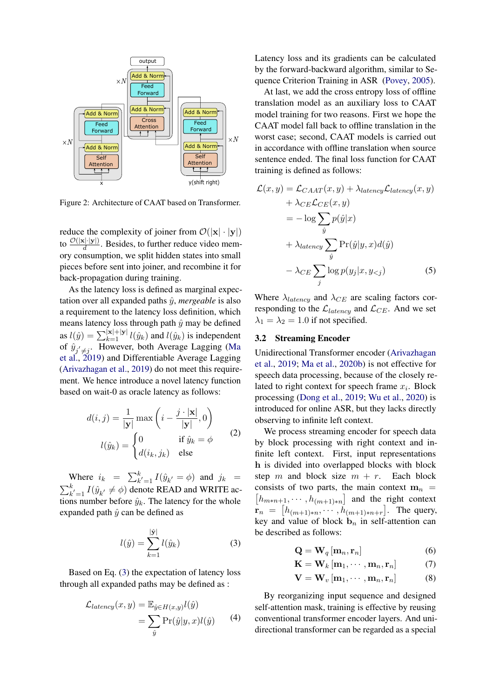<span id="page-3-0"></span>

Figure 2: Architecture of CAAT based on Transformer.

reduce the complexity of joiner from  $\mathcal{O}(|\mathbf{x}| \cdot |\mathbf{y}|)$ to  $\frac{\mathcal{O}(|\mathbf{x}|\cdot|\mathbf{y}|)}{d}$ . Besides, to further reduce video memory consumption, we split hidden states into small pieces before sent into joiner, and recombine it for back-propagation during training.

As the latency loss is defined as marginal expectation over all expanded paths  $\hat{y}$ , *mergeable* is also a requirement to the latency loss definition, which means latency loss through path  $\hat{y}$  may be defined as  $l(\hat{y}) = \sum_{k=1}^{\vert \mathbf{x} \vert + \vert \mathbf{y} \vert} l(\hat{y}_k)$  and  $l(\hat{y}_k)$  is independent of  $\hat{y}_{j' \neq j}$ . However, both Average Lagging [\(Ma](#page-7-0) [et al.,](#page-7-0) [2019\)](#page-7-0) and Differentiable Average Lagging [\(Arivazhagan et al.,](#page-7-1) [2019\)](#page-7-1) do not meet this requirement. We hence introduce a novel latency function based on wait-0 as oracle latency as follows:

$$
d(i,j) = \frac{1}{|\mathbf{y}|} \max\left(i - \frac{j \cdot |\mathbf{x}|}{|\mathbf{y}|}, 0\right)
$$

$$
l(\hat{y}_k) = \begin{cases} 0 & \text{if } \hat{y}_k = \phi \\ d(i_k, j_k) & \text{else} \end{cases}
$$
(2)

Where  $i_k = \sum_{k'=1}^{k} I(\hat{y}_{k'} = \phi)$  and  $j_k =$  $\sum_{k'=1}^{k} I(\hat{y}_{k'} \neq \phi)$  denote READ and WRITE actions number before  $\hat{y}_k$ . The latency for the whole expanded path  $\hat{y}$  can be defined as

<span id="page-3-1"></span>
$$
l(\hat{y}) = \sum_{k=1}^{|\hat{y}|} l(\hat{y}_k)
$$
 (3)

Based on Eq. [\(3\)](#page-3-1) the expectation of latency loss through all expanded paths may be defined as :

$$
\mathcal{L}_{latency}(x, y) = \mathbb{E}_{\hat{y} \in H(x, y)} l(\hat{y})
$$

$$
= \sum_{\hat{y}} \Pr(\hat{y}|y, x) l(\hat{y}) \tag{4}
$$

Latency loss and its gradients can be calculated by the forward-backward algorithm, similar to Sequence Criterion Training in ASR [\(Povey,](#page-8-7) [2005\)](#page-8-7).

At last, we add the cross entropy loss of offline translation model as an auxiliary loss to CAAT model training for two reasons. First we hope the CAAT model fall back to offline translation in the worst case; second, CAAT models is carried out in accordance with offline translation when source sentence ended. The final loss function for CAAT training is defined as follows:

$$
\mathcal{L}(x, y) = \mathcal{L}_{CAAT}(x, y) + \lambda_{latency} \mathcal{L}_{latency}(x, y)
$$
  
+  $\lambda_{CE} \mathcal{L}_{CE}(x, y)$   
=  $-\log \sum_{\hat{y}} p(\hat{y}|x)$   
+  $\lambda_{latency} \sum_{\hat{y}} \Pr(\hat{y}|y, x) d(\hat{y})$   
-  $\lambda_{CE} \sum_{j} \log p(y_j|x, y_{ (5)$ 

Where  $\lambda_{latency}$  and  $\lambda_{CE}$  are scaling factors corresponding to the  $\mathcal{L}_{latency}$  and  $\mathcal{L}_{CE}$ . And we set  $\lambda_1 = \lambda_2 = 1.0$  if not specified.

#### <span id="page-3-2"></span>3.2 Streaming Encoder

Unidirectional Transformer encoder [\(Arivazhagan](#page-7-1) [et al.,](#page-7-1) [2019;](#page-7-1) [Ma et al.,](#page-8-0) [2020b\)](#page-8-0) is not effective for speech data processing, because of the closely related to right context for speech frame  $x_i$ . Block processing [\(Dong et al.,](#page-7-9) [2019;](#page-7-9) [Wu et al.,](#page-8-8) [2020\)](#page-8-8) is introduced for online ASR, but they lacks directly observing to infinite left context.

We process streaming encoder for speech data by block processing with right context and infinite left context. First, input representations h is divided into overlapped blocks with block step m and block size  $m + r$ . Each block consists of two parts, the main context  $m_n$  =  $\left[h_{m*n+1}, \cdots, h_{(m+1)*n}\right]$  and the right context  ${\bf r}_n = [h_{(m+1)*n}, \cdots, h_{(m+1)*n+r}].$  The query, key and value of block  $\mathbf{b}_n$  in self-attention can be described as follows:

$$
\mathbf{Q} = \mathbf{W}_q \left[ \mathbf{m}_n, \mathbf{r}_n \right] \tag{6}
$$

$$
\mathbf{K} = \mathbf{W}_k \left[ \mathbf{m}_1, \cdots, \mathbf{m}_n, \mathbf{r}_n \right] \tag{7}
$$

$$
\mathbf{V} = \mathbf{W}_{v} \left[ \mathbf{m}_{1}, \cdots, \mathbf{m}_{n}, \mathbf{r}_{n} \right]
$$
 (8)

By reorganizing input sequence and designed self-attention mask, training is effective by reusing conventional transformer encoder layers. And unidirectional transformer can be regarded as a special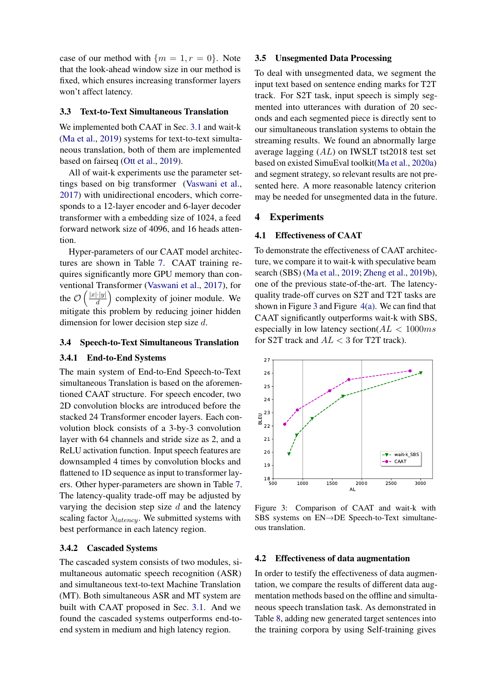case of our method with  ${m = 1, r = 0}$ . Note that the look-ahead window size in our method is fixed, which ensures increasing transformer layers won't affect latency.

#### 3.3 Text-to-Text Simultaneous Translation

We implemented both CAAT in Sec. [3.1](#page-2-3) and wait-k [\(Ma et al.,](#page-7-0) [2019\)](#page-7-0) systems for text-to-text simultaneous translation, both of them are implemented based on fairseq [\(Ott et al.,](#page-8-9) [2019\)](#page-8-9).

All of wait-k experiments use the parameter settings based on big transformer [\(Vaswani et al.,](#page-8-2) [2017\)](#page-8-2) with unidirectional encoders, which corresponds to a 12-layer encoder and 6-layer decoder transformer with a embedding size of 1024, a feed forward network size of 4096, and 16 heads attention.

Hyper-parameters of our CAAT model architectures are shown in Table [7.](#page-5-0) CAAT training requires significantly more GPU memory than conventional Transformer [\(Vaswani et al.,](#page-8-2) [2017\)](#page-8-2), for the  $\mathcal{O}\left(\frac{|x| \cdot |y|}{d}\right)$  $\frac{||\cdot|y|}{d}$  complexity of joiner module. We mitigate this problem by reducing joiner hidden dimension for lower decision step size d.

#### 3.4 Speech-to-Text Simultaneous Translation

### 3.4.1 End-to-End Systems

The main system of End-to-End Speech-to-Text simultaneous Translation is based on the aforementioned CAAT structure. For speech encoder, two 2D convolution blocks are introduced before the stacked 24 Transformer encoder layers. Each convolution block consists of a 3-by-3 convolution layer with 64 channels and stride size as 2, and a ReLU activation function. Input speech features are downsampled 4 times by convolution blocks and flattened to 1D sequence as input to transformer layers. Other hyper-parameters are shown in Table [7.](#page-5-0) The latency-quality trade-off may be adjusted by varying the decision step size  $d$  and the latency scaling factor  $\lambda_{latency}$ . We submitted systems with best performance in each latency region.

# 3.4.2 Cascaded Systems

The cascaded system consists of two modules, simultaneous automatic speech recognition (ASR) and simultaneous text-to-text Machine Translation (MT). Both simultaneous ASR and MT system are built with CAAT proposed in Sec. [3.1.](#page-2-3) And we found the cascaded systems outperforms end-toend system in medium and high latency region.

#### 3.5 Unsegmented Data Processing

To deal with unsegmented data, we segment the input text based on sentence ending marks for T2T track. For S2T task, input speech is simply segmented into utterances with duration of 20 seconds and each segmented piece is directly sent to our simultaneous translation systems to obtain the streaming results. We found an abnormally large average lagging (AL) on IWSLT tst2018 test set based on existed SimuEval toolkit[\(Ma et al.,](#page-8-10) [2020a\)](#page-8-10) and segment strategy, so relevant results are not presented here. A more reasonable latency criterion may be needed for unsegmented data in the future.

#### 4 Experiments

### 4.1 Effectiveness of CAAT

To demonstrate the effectiveness of CAAT architecture, we compare it to wait-k with speculative beam search (SBS) [\(Ma et al.,](#page-7-0) [2019;](#page-7-0) [Zheng et al.,](#page-8-11) [2019b\)](#page-8-11), one of the previous state-of-the-art. The latencyquality trade-off curves on S2T and T2T tasks are shown in Figure [3](#page-4-0) and Figure [4\(a\).](#page-6-0) We can find that CAAT significantly outperforms wait-k with SBS, especially in low latency section( $AL < 1000ms$ ) for S2T track and  $AL < 3$  for T2T track).

<span id="page-4-0"></span>

Figure 3: Comparison of CAAT and wait-k with SBS systems on EN→DE Speech-to-Text simultaneous translation.

### 4.2 Effectiveness of data augmentation

In order to testify the effectiveness of data augmentation, we compare the results of different data augmentation methods based on the offline and simultaneous speech translation task. As demonstrated in Table [8,](#page-5-1) adding new generated target sentences into the training corpora by using Self-training gives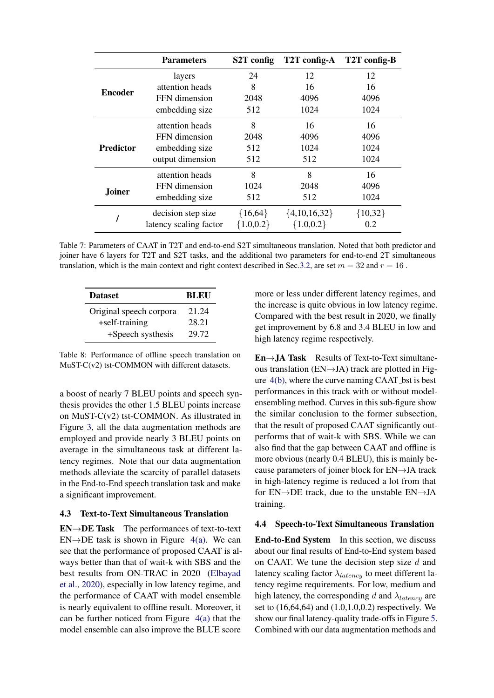<span id="page-5-0"></span>

|                  | <b>Parameters</b>      | S2T config   | T2T config-A     | T2T config-B |
|------------------|------------------------|--------------|------------------|--------------|
|                  | layers                 | 24           | 12               | 12           |
| <b>Encoder</b>   | attention heads        | 8            | 16               | 16           |
|                  | FFN dimension          | 2048         | 4096             | 4096         |
|                  | embedding size         | 512          | 1024             | 1024         |
|                  | attention heads        | 8            | 16               | 16           |
|                  | FFN dimension          | 2048         | 4096             | 4096         |
| <b>Predictor</b> | embedding size         | 512          | 1024             | 1024         |
|                  | output dimension       | 512          | 512              | 1024         |
|                  | attention heads        | 8            | 8                | 16           |
| Joiner           | FFN dimension          | 1024         | 2048             | 4096         |
|                  | embedding size         | 512          | 512              | 1024         |
|                  | decision step size     | ${16,64}$    | $\{4,10,16,32\}$ | ${10,32}$    |
|                  | latency scaling factor | ${1.0, 0.2}$ | ${1.0, 0.2}$     | 0.2          |

Table 7: Parameters of CAAT in T2T and end-to-end S2T simultaneous translation. Noted that both predictor and joiner have 6 layers for T2T and S2T tasks, and the additional two parameters for end-to-end 2T simultaneous translation, which is the main context and right context described in Sec[.3.2,](#page-3-2) are set  $m = 32$  and  $r = 16$ .

<span id="page-5-1"></span>

| <b>Dataset</b>          | <b>BLEU</b> |
|-------------------------|-------------|
| Original speech corpora | 21.24       |
| +self-training          | 28.21       |
| +Speech systhesis       | 29.72       |

Table 8: Performance of offline speech translation on MuST-C(v2) tst-COMMON with different datasets.

a boost of nearly 7 BLEU points and speech synthesis provides the other 1.5 BLEU points increase on MuST-C(v2) tst-COMMON. As illustrated in Figure [3,](#page-4-0) all the data augmentation methods are employed and provide nearly 3 BLEU points on average in the simultaneous task at different latency regimes. Note that our data augmentation methods alleviate the scarcity of parallel datasets in the End-to-End speech translation task and make a significant improvement.

# 4.3 Text-to-Text Simultaneous Translation

 $EN \rightarrow DE$  Task The performances of text-to-text  $EN\rightarrow DE$  task is shown in Figure [4\(a\).](#page-6-0) We can see that the performance of proposed CAAT is always better than that of wait-k with SBS and the best results from ON-TRAC in 2020 [\(Elbayad](#page-7-10) [et al.,](#page-7-10) [2020\)](#page-7-10), especially in low latency regime, and the performance of CAAT with model ensemble is nearly equivalent to offline result. Moreover, it can be further noticed from Figure  $4(a)$  that the model ensemble can also improve the BLUE score more or less under different latency regimes, and the increase is quite obvious in low latency regime. Compared with the best result in 2020, we finally get improvement by 6.8 and 3.4 BLEU in low and high latency regime respectively.

 $En \rightarrow JA$  Task Results of Text-to-Text simultaneous translation ( $EN\rightarrow JA$ ) track are plotted in Figure  $4(b)$ , where the curve naming CAAT bst is best performances in this track with or without modelensembling method. Curves in this sub-figure show the similar conclusion to the former subsection, that the result of proposed CAAT significantly outperforms that of wait-k with SBS. While we can also find that the gap between CAAT and offline is more obvious (nearly 0.4 BLEU), this is mainly because parameters of joiner block for EN→JA track in high-latency regime is reduced a lot from that for  $EN \rightarrow DE$  track, due to the unstable  $EN \rightarrow JA$ training.

### 4.4 Speech-to-Text Simultaneous Translation

End-to-End System In this section, we discuss about our final results of End-to-End system based on CAAT. We tune the decision step size  $d$  and latency scaling factor  $\lambda_{latency}$  to meet different latency regime requirements. For low, medium and high latency, the corresponding d and  $\lambda_{latency}$  are set to (16,64,64) and (1.0,1.0,0.2) respectively. We show our final latency-quality trade-offs in Figure [5.](#page-6-2) Combined with our data augmentation methods and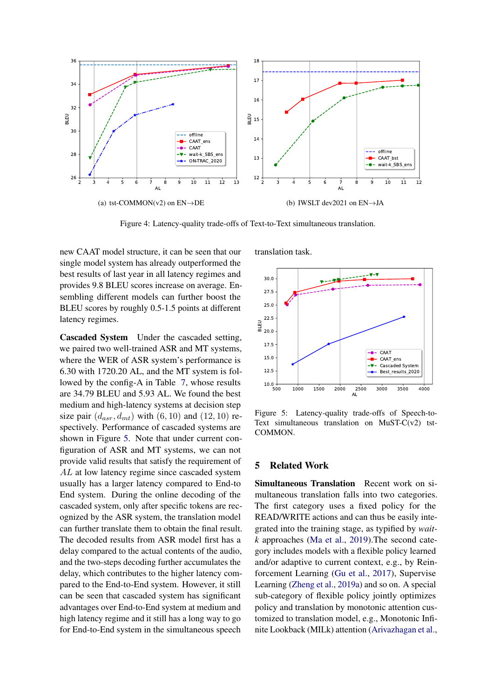<span id="page-6-0"></span>

Figure 4: Latency-quality trade-offs of Text-to-Text simultaneous translation.

new CAAT model structure, it can be seen that our single model system has already outperformed the best results of last year in all latency regimes and provides 9.8 BLEU scores increase on average. Ensembling different models can further boost the BLEU scores by roughly 0.5-1.5 points at different latency regimes.

Cascaded System Under the cascaded setting, we paired two well-trained ASR and MT systems, where the WER of ASR system's performance is 6.30 with 1720.20 AL, and the MT system is followed by the config-A in Table [7,](#page-5-0) whose results are 34.79 BLEU and 5.93 AL. We found the best medium and high-latency systems at decision step size pair  $(d_{asr}, d_{mt})$  with  $(6, 10)$  and  $(12, 10)$  respectively. Performance of cascaded systems are shown in Figure [5.](#page-6-2) Note that under current configuration of ASR and MT systems, we can not provide valid results that satisfy the requirement of AL at low latency regime since cascaded system usually has a larger latency compared to End-to End system. During the online decoding of the cascaded system, only after specific tokens are recognized by the ASR system, the translation model can further translate them to obtain the final result. The decoded results from ASR model first has a delay compared to the actual contents of the audio, and the two-steps decoding further accumulates the delay, which contributes to the higher latency compared to the End-to-End system. However, it still can be seen that cascaded system has significant advantages over End-to-End system at medium and high latency regime and it still has a long way to go for End-to-End system in the simultaneous speech

<span id="page-6-1"></span>translation task.

<span id="page-6-2"></span>

Figure 5: Latency-quality trade-offs of Speech-to-Text simultaneous translation on MuST-C(v2) tst-COMMON.

#### 5 Related Work

Simultaneous Translation Recent work on simultaneous translation falls into two categories. The first category uses a fixed policy for the READ/WRITE actions and can thus be easily integrated into the training stage, as typified by *waitk* approaches [\(Ma et al.,](#page-7-0) [2019\)](#page-7-0).The second category includes models with a flexible policy learned and/or adaptive to current context, e.g., by Reinforcement Learning [\(Gu et al.,](#page-7-11) [2017\)](#page-7-11), Supervise Learning [\(Zheng et al.,](#page-8-12) [2019a\)](#page-8-12) and so on. A special sub-category of flexible policy jointly optimizes policy and translation by monotonic attention customized to translation model, e.g., Monotonic Infinite Lookback (MILk) attention [\(Arivazhagan et al.,](#page-7-1)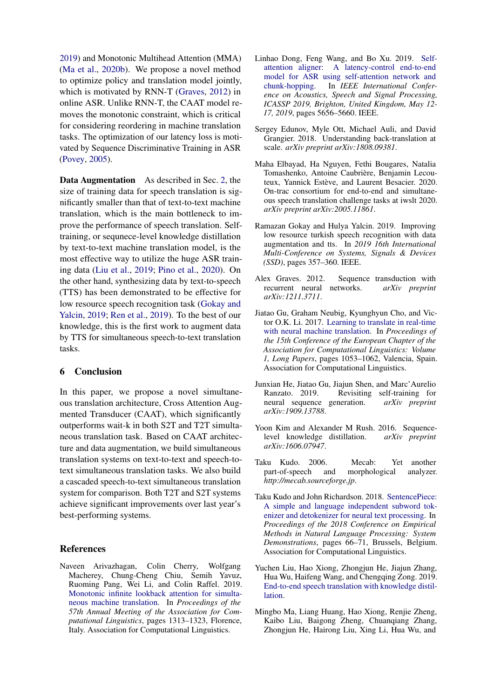[2019\)](#page-7-1) and Monotonic Multihead Attention (MMA) [\(Ma et al.,](#page-8-0) [2020b\)](#page-8-0). We propose a novel method to optimize policy and translation model jointly, which is motivated by RNN-T [\(Graves,](#page-7-2) [2012\)](#page-7-2) in online ASR. Unlike RNN-T, the CAAT model removes the monotonic constraint, which is critical for considering reordering in machine translation tasks. The optimization of our latency loss is motivated by Sequence Discriminative Training in ASR [\(Povey,](#page-8-7) [2005\)](#page-8-7).

Data Augmentation As described in Sec. [2,](#page-0-0) the size of training data for speech translation is significantly smaller than that of text-to-text machine translation, which is the main bottleneck to improve the performance of speech translation. Selftraining, or sequnece-level knowledge distillation by text-to-text machine translation model, is the most effective way to utilize the huge ASR training data [\(Liu et al.,](#page-7-8) [2019;](#page-7-8) [Pino et al.,](#page-8-13) [2020\)](#page-8-13). On the other hand, synthesizing data by text-to-speech (TTS) has been demonstrated to be effective for low resource speech recognition task [\(Gokay and](#page-7-12) [Yalcin,](#page-7-12) [2019;](#page-7-12) [Ren et al.,](#page-8-14) [2019\)](#page-8-14). To the best of our knowledge, this is the first work to augment data by TTS for simultaneous speech-to-text translation tasks.

## 6 Conclusion

In this paper, we propose a novel simultaneous translation architecture, Cross Attention Augmented Transducer (CAAT), which significantly outperforms wait-k in both S2T and T2T simultaneous translation task. Based on CAAT architecture and data augmentation, we build simultaneous translation systems on text-to-text and speech-totext simultaneous translation tasks. We also build a cascaded speech-to-text simultaneous translation system for comparison. Both T2T and S2T systems achieve significant improvements over last year's best-performing systems.

### References

<span id="page-7-1"></span>Naveen Arivazhagan, Colin Cherry, Wolfgang Macherey, Chung-Cheng Chiu, Semih Yavuz, Ruoming Pang, Wei Li, and Colin Raffel. 2019. [Monotonic infinite lookback attention for simulta](https://doi.org/10.18653/v1/P19-1126)[neous machine translation.](https://doi.org/10.18653/v1/P19-1126) In *Proceedings of the 57th Annual Meeting of the Association for Computational Linguistics*, pages 1313–1323, Florence, Italy. Association for Computational Linguistics.

- <span id="page-7-9"></span>Linhao Dong, Feng Wang, and Bo Xu. 2019. [Self](https://doi.org/10.1109/ICASSP.2019.8682954)[attention aligner: A latency-control end-to-end](https://doi.org/10.1109/ICASSP.2019.8682954) [model for ASR using self-attention network and](https://doi.org/10.1109/ICASSP.2019.8682954) [chunk-hopping.](https://doi.org/10.1109/ICASSP.2019.8682954) In *IEEE International Conference on Acoustics, Speech and Signal Processing, ICASSP 2019, Brighton, United Kingdom, May 12- 17, 2019*, pages 5656–5660. IEEE.
- <span id="page-7-3"></span>Sergey Edunov, Myle Ott, Michael Auli, and David Grangier. 2018. Understanding back-translation at scale. *arXiv preprint arXiv:1808.09381*.
- <span id="page-7-10"></span>Maha Elbayad, Ha Nguyen, Fethi Bougares, Natalia Tomashenko, Antoine Caubrière, Benjamin Lecouteux, Yannick Estève, and Laurent Besacier. 2020. On-trac consortium for end-to-end and simultaneous speech translation challenge tasks at iwslt 2020. *arXiv preprint arXiv:2005.11861*.
- <span id="page-7-12"></span>Ramazan Gokay and Hulya Yalcin. 2019. Improving low resource turkish speech recognition with data augmentation and tts. In *2019 16th International Multi-Conference on Systems, Signals & Devices (SSD)*, pages 357–360. IEEE.
- <span id="page-7-2"></span>Alex Graves. 2012. Sequence transduction with recurrent neural networks. *arXiv preprint arXiv:1211.3711*.
- <span id="page-7-11"></span>Jiatao Gu, Graham Neubig, Kyunghyun Cho, and Victor O.K. Li. 2017. [Learning to translate in real-time](https://www.aclweb.org/anthology/E17-1099) [with neural machine translation.](https://www.aclweb.org/anthology/E17-1099) In *Proceedings of the 15th Conference of the European Chapter of the Association for Computational Linguistics: Volume 1, Long Papers*, pages 1053–1062, Valencia, Spain. Association for Computational Linguistics.
- <span id="page-7-7"></span>Junxian He, Jiatao Gu, Jiajun Shen, and Marc'Aurelio Ranzato. 2019. Revisiting self-training for neural sequence generation. *arXiv preprint arXiv:1909.13788*.
- <span id="page-7-4"></span>Yoon Kim and Alexander M Rush. 2016. Sequencelevel knowledge distillation. *arXiv preprint arXiv:1606.07947*.
- <span id="page-7-6"></span>Taku Kudo. 2006. Mecab: Yet another part-of-speech and morphological analyzer. *http://mecab.sourceforge.jp*.
- <span id="page-7-5"></span>Taku Kudo and John Richardson. 2018. [SentencePiece:](https://doi.org/10.18653/v1/D18-2012) [A simple and language independent subword tok](https://doi.org/10.18653/v1/D18-2012)[enizer and detokenizer for neural text processing.](https://doi.org/10.18653/v1/D18-2012) In *Proceedings of the 2018 Conference on Empirical Methods in Natural Language Processing: System Demonstrations*, pages 66–71, Brussels, Belgium. Association for Computational Linguistics.
- <span id="page-7-8"></span>Yuchen Liu, Hao Xiong, Zhongjun He, Jiajun Zhang, Hua Wu, Haifeng Wang, and Chengqing Zong. 2019. [End-to-end speech translation with knowledge distil](http://arxiv.org/abs/1904.08075)[lation.](http://arxiv.org/abs/1904.08075)
- <span id="page-7-0"></span>Mingbo Ma, Liang Huang, Hao Xiong, Renjie Zheng, Kaibo Liu, Baigong Zheng, Chuanqiang Zhang, Zhongjun He, Hairong Liu, Xing Li, Hua Wu, and